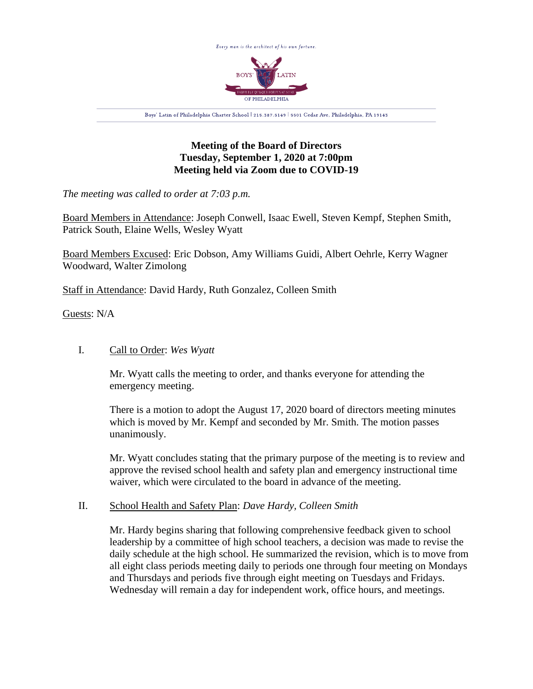

## **Meeting of the Board of Directors Tuesday, September 1, 2020 at 7:00pm Meeting held via Zoom due to COVID-19**

*The meeting was called to order at 7:03 p.m.*

Board Members in Attendance: Joseph Conwell, Isaac Ewell, Steven Kempf, Stephen Smith, Patrick South, Elaine Wells, Wesley Wyatt

Board Members Excused: Eric Dobson, Amy Williams Guidi, Albert Oehrle, Kerry Wagner Woodward, Walter Zimolong

Staff in Attendance: David Hardy, Ruth Gonzalez, Colleen Smith

Guests: N/A

## I. Call to Order: *Wes Wyatt*

Mr. Wyatt calls the meeting to order, and thanks everyone for attending the emergency meeting.

There is a motion to adopt the August 17, 2020 board of directors meeting minutes which is moved by Mr. Kempf and seconded by Mr. Smith. The motion passes unanimously.

Mr. Wyatt concludes stating that the primary purpose of the meeting is to review and approve the revised school health and safety plan and emergency instructional time waiver, which were circulated to the board in advance of the meeting.

## II. School Health and Safety Plan: *Dave Hardy, Colleen Smith*

Mr. Hardy begins sharing that following comprehensive feedback given to school leadership by a committee of high school teachers, a decision was made to revise the daily schedule at the high school. He summarized the revision, which is to move from all eight class periods meeting daily to periods one through four meeting on Mondays and Thursdays and periods five through eight meeting on Tuesdays and Fridays. Wednesday will remain a day for independent work, office hours, and meetings.